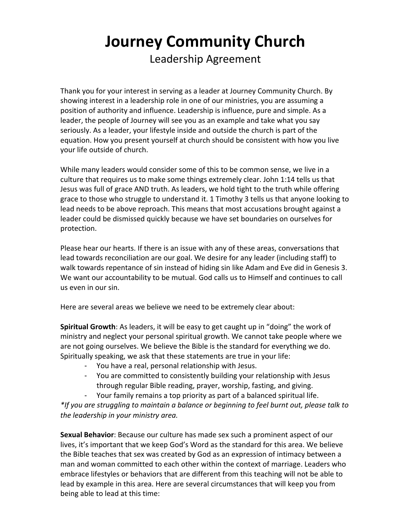## **Journey Community Church** Leadership Agreement

Thank you for your interest in serving as a leader at Journey Community Church. By showing interest in a leadership role in one of our ministries, you are assuming a position of authority and influence. Leadership is influence, pure and simple. As a leader, the people of Journey will see you as an example and take what you say seriously. As a leader, your lifestyle inside and outside the church is part of the equation. How you present yourself at church should be consistent with how you live your life outside of church.

While many leaders would consider some of this to be common sense, we live in a culture that requires us to make some things extremely clear. John  $1:14$  tells us that Jesus was full of grace AND truth. As leaders, we hold tight to the truth while offering grace to those who struggle to understand it. 1 Timothy 3 tells us that anyone looking to lead needs to be above reproach. This means that most accusations brought against a leader could be dismissed quickly because we have set boundaries on ourselves for protection. 

Please hear our hearts. If there is an issue with any of these areas, conversations that lead towards reconciliation are our goal. We desire for any leader (including staff) to walk towards repentance of sin instead of hiding sin like Adam and Eve did in Genesis 3. We want our accountability to be mutual. God calls us to Himself and continues to call us even in our sin.

Here are several areas we believe we need to be extremely clear about:

**Spiritual Growth**: As leaders, it will be easy to get caught up in "doing" the work of ministry and neglect your personal spiritual growth. We cannot take people where we are not going ourselves. We believe the Bible is the standard for everything we do. Spiritually speaking, we ask that these statements are true in your life:

- You have a real, personal relationship with Jesus.
- You are committed to consistently building your relationship with Jesus through regular Bible reading, prayer, worship, fasting, and giving.
- Your family remains a top priority as part of a balanced spiritual life.

\*If you are struggling to maintain a balance or beginning to feel burnt out, please talk to *the leadership in your ministry area.*

**Sexual Behavior**: Because our culture has made sex such a prominent aspect of our lives, it's important that we keep God's Word as the standard for this area. We believe the Bible teaches that sex was created by God as an expression of intimacy between a man and woman committed to each other within the context of marriage. Leaders who embrace lifestyles or behaviors that are different from this teaching will not be able to lead by example in this area. Here are several circumstances that will keep you from being able to lead at this time: